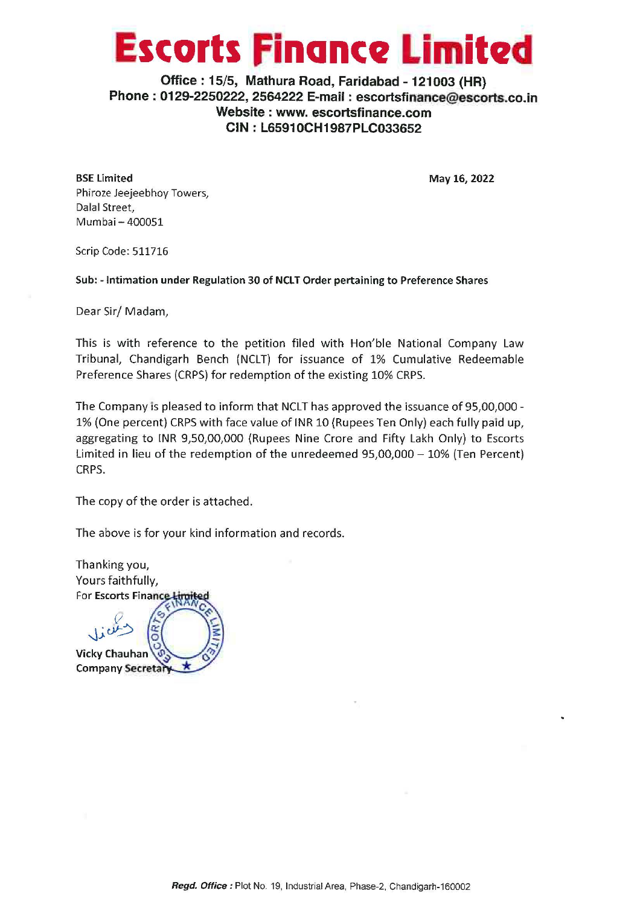# **Escorts Finance Limited**

**Office: 15/5, Mathura Road, Faridabad** - **121003 (HR) Phone** : **0129-2250222, 2564222 E-mail** : **escortsfinance@escorts.co.in Website** : **www. escortsfinance.com CIN: L65910CH1987PLC033652** 

**BSE Limited**  Phiroze Jeejeebhoy Towers, Dalal Street, Mumbai - 400051

**May 16, 2022** 

Scrip Code: 511716

**Sub:** - **Intimation under Regulation 30 of NCLT Order pertaining to Preference Shares** 

Dear Sir/ Madam,

This is with reference to the petition filed with Hon'ble National Company Law Tribunal, Chandigarh Bench (NCLT) for issuance of 1% Cumulative Redeemable Preference Shares (CRPS) for redemption of the existing 10% CRPS.

The Company is pleased to inform that NCLT has approved the issuance of 95,00,000 - 1% (One percent) CRPS with face value of INR 10 (Rupees Ten Only) each fully paid up, aggregating to INR 9,50,00,000 (Rupees Nine Crore and Fifty Lakh Only) to Escorts Limited in lieu of the redemption of the unredeemed 95,00,000 - 10% (Ten Percent) CRPS.

The copy of the order is attached.

The above is for your kind information and records.

Thanking you, Yours faithfully, **For Escorts Finance Limites** 

 $Q$  $\lim_{\omega\to 0}$   $\frac{1}{\sqrt{2}}$ **Vicky Chauhan Company Secretar**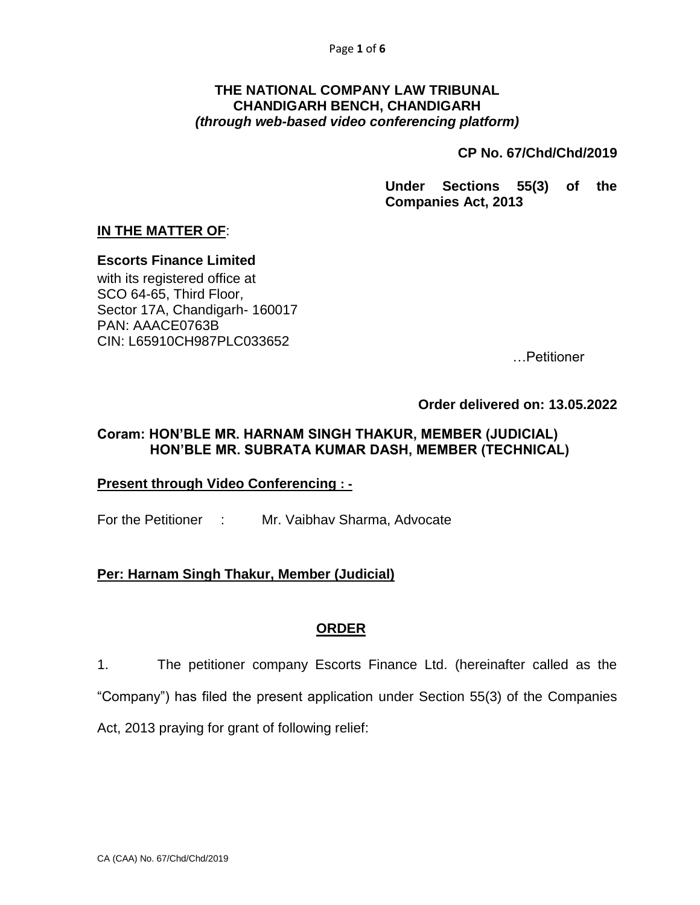#### **THE NATIONAL COMPANY LAW TRIBUNAL CHANDIGARH BENCH, CHANDIGARH** *(through web-based video conferencing platform)*

**CP No. 67/Chd/Chd/2019** 

**Under Sections 55(3) of the Companies Act, 2013**

## **IN THE MATTER OF**:

**Escorts Finance Limited**

with its registered office at SCO 64-65, Third Floor, Sector 17A, Chandigarh- 160017 PAN: AAACE0763B CIN: L65910CH987PLC033652

…Petitioner

**Order delivered on: 13.05.2022**

#### **Coram: HON'BLE MR. HARNAM SINGH THAKUR, MEMBER (JUDICIAL) HON'BLE MR. SUBRATA KUMAR DASH, MEMBER (TECHNICAL)**

#### **Present through Video Conferencing : -**

For the Petitioner : Mr. Vaibhav Sharma, Advocate

### **Per: Harnam Singh Thakur, Member (Judicial)**

### **ORDER**

1. The petitioner company Escorts Finance Ltd. (hereinafter called as the "Company") has filed the present application under Section 55(3) of the Companies Act, 2013 praying for grant of following relief: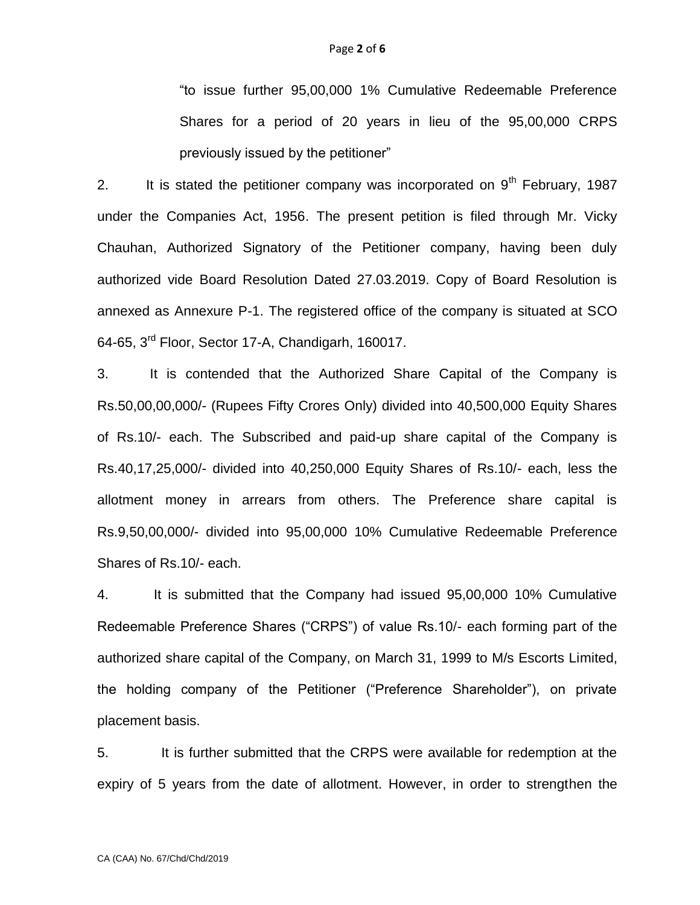"to issue further 95,00,000 1% Cumulative Redeemable Preference Shares for a period of 20 years in lieu of the 95,00,000 CRPS previously issued by the petitioner"

2. It is stated the petitioner company was incorporated on  $9<sup>th</sup>$  February, 1987 under the Companies Act, 1956. The present petition is filed through Mr. Vicky Chauhan, Authorized Signatory of the Petitioner company, having been duly authorized vide Board Resolution Dated 27.03.2019. Copy of Board Resolution is annexed as Annexure P-1. The registered office of the company is situated at SCO 64-65, 3rd Floor, Sector 17-A, Chandigarh, 160017.

3. It is contended that the Authorized Share Capital of the Company is Rs.50,00,00,000/- (Rupees Fifty Crores Only) divided into 40,500,000 Equity Shares of Rs.10/- each. The Subscribed and paid-up share capital of the Company is Rs.40,17,25,000/- divided into 40,250,000 Equity Shares of Rs.10/- each, less the allotment money in arrears from others. The Preference share capital is Rs.9,50,00,000/- divided into 95,00,000 10% Cumulative Redeemable Preference Shares of Rs.10/- each.

4. It is submitted that the Company had issued 95,00,000 10% Cumulative Redeemable Preference Shares ("CRPS") of value Rs.10/- each forming part of the authorized share capital of the Company, on March 31, 1999 to M/s Escorts Limited, the holding company of the Petitioner ("Preference Shareholder"), on private placement basis.

5. It is further submitted that the CRPS were available for redemption at the expiry of 5 years from the date of allotment. However, in order to strengthen the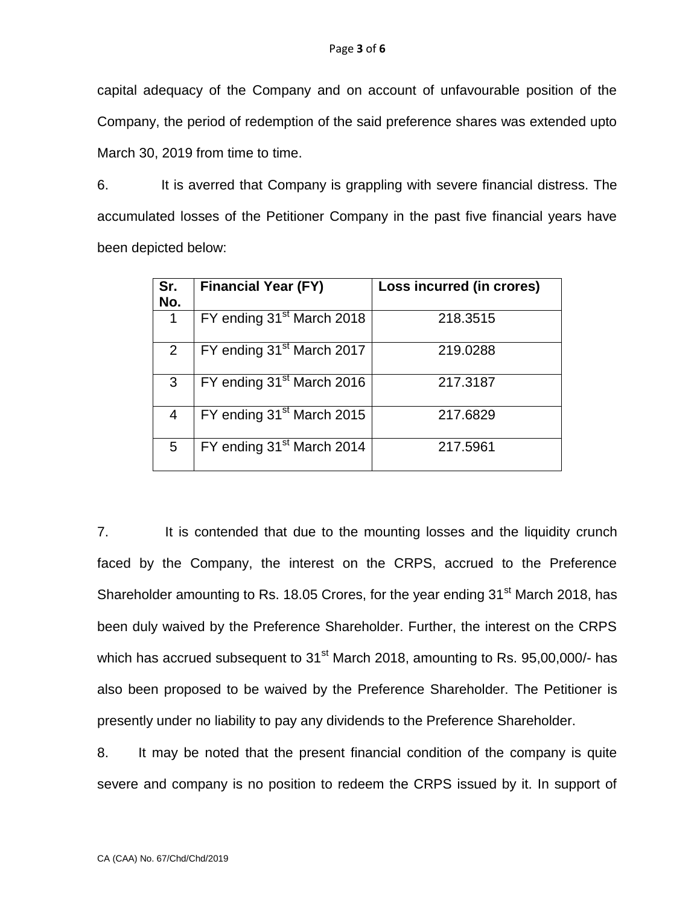capital adequacy of the Company and on account of unfavourable position of the Company, the period of redemption of the said preference shares was extended upto March 30, 2019 from time to time.

6. It is averred that Company is grappling with severe financial distress. The accumulated losses of the Petitioner Company in the past five financial years have been depicted below:

| Sr.<br>No.     | <b>Financial Year (FY)</b>            | Loss incurred (in crores) |
|----------------|---------------------------------------|---------------------------|
|                | FY ending 31 <sup>st</sup> March 2018 | 218.3515                  |
| $\overline{2}$ | FY ending 31 <sup>st</sup> March 2017 | 219.0288                  |
| 3              | FY ending 31 <sup>st</sup> March 2016 | 217.3187                  |
| 4              | FY ending 31 <sup>st</sup> March 2015 | 217.6829                  |
| 5              | FY ending 31 <sup>st</sup> March 2014 | 217.5961                  |

7. It is contended that due to the mounting losses and the liquidity crunch faced by the Company, the interest on the CRPS, accrued to the Preference Shareholder amounting to Rs. 18.05 Crores, for the year ending 31<sup>st</sup> March 2018, has been duly waived by the Preference Shareholder. Further, the interest on the CRPS which has accrued subsequent to 31<sup>st</sup> March 2018, amounting to Rs. 95,00,000/- has also been proposed to be waived by the Preference Shareholder. The Petitioner is presently under no liability to pay any dividends to the Preference Shareholder.

8. It may be noted that the present financial condition of the company is quite severe and company is no position to redeem the CRPS issued by it. In support of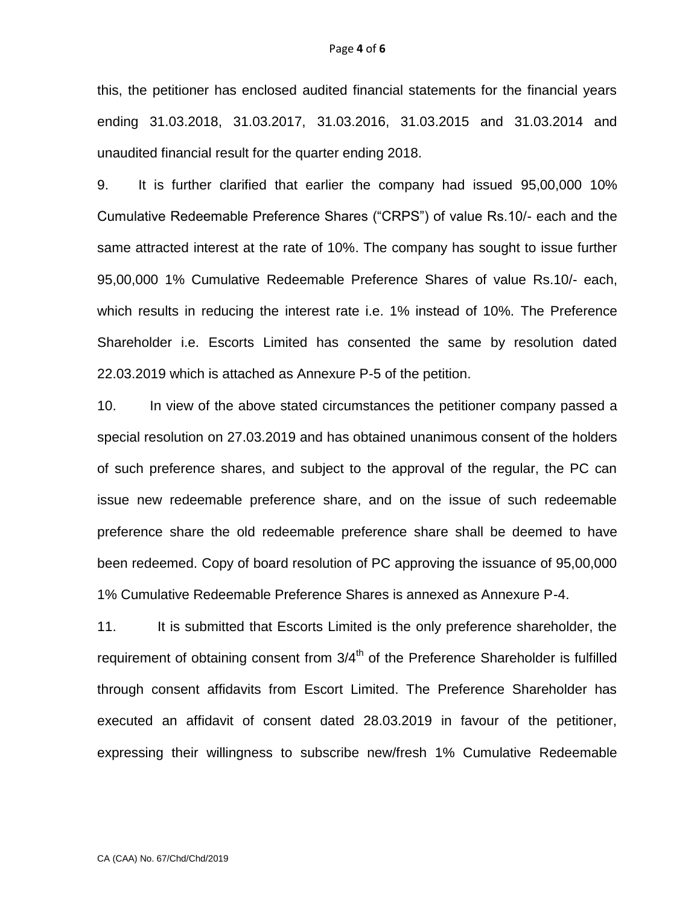this, the petitioner has enclosed audited financial statements for the financial years ending 31.03.2018, 31.03.2017, 31.03.2016, 31.03.2015 and 31.03.2014 and unaudited financial result for the quarter ending 2018.

9. It is further clarified that earlier the company had issued 95,00,000 10% Cumulative Redeemable Preference Shares ("CRPS") of value Rs.10/- each and the same attracted interest at the rate of 10%. The company has sought to issue further 95,00,000 1% Cumulative Redeemable Preference Shares of value Rs.10/- each, which results in reducing the interest rate i.e. 1% instead of 10%. The Preference Shareholder i.e. Escorts Limited has consented the same by resolution dated 22.03.2019 which is attached as Annexure P-5 of the petition.

10. In view of the above stated circumstances the petitioner company passed a special resolution on 27.03.2019 and has obtained unanimous consent of the holders of such preference shares, and subject to the approval of the regular, the PC can issue new redeemable preference share, and on the issue of such redeemable preference share the old redeemable preference share shall be deemed to have been redeemed. Copy of board resolution of PC approving the issuance of 95,00,000 1% Cumulative Redeemable Preference Shares is annexed as Annexure P-4.

11. It is submitted that Escorts Limited is the only preference shareholder, the requirement of obtaining consent from  $3/4<sup>th</sup>$  of the Preference Shareholder is fulfilled through consent affidavits from Escort Limited. The Preference Shareholder has executed an affidavit of consent dated 28.03.2019 in favour of the petitioner, expressing their willingness to subscribe new/fresh 1% Cumulative Redeemable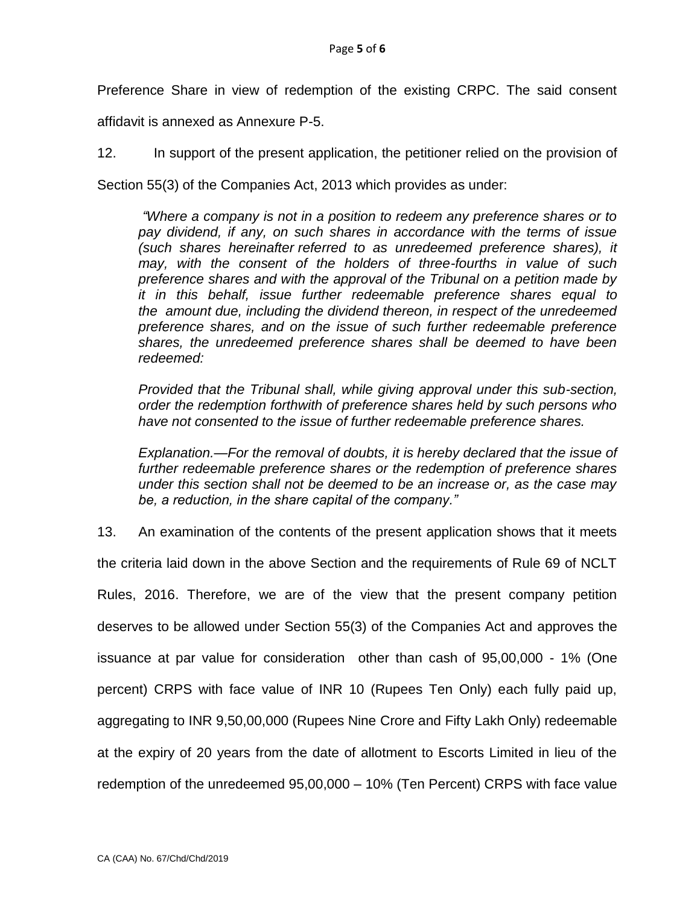Preference Share in view of redemption of the existing CRPC. The said consent

affidavit is annexed as Annexure P-5.

12. In support of the present application, the petitioner relied on the provision of

Section 55(3) of the Companies Act, 2013 which provides as under:

*"Where a company is not in a position to redeem any preference shares or to pay dividend, if any, on such shares in accordance with the terms of issue (such shares hereinafter referred to as unredeemed preference shares), it may, with the consent of the holders of three-fourths in value of such preference shares and with the approval of the Tribunal on a petition made by it in this behalf, issue further redeemable preference shares equal to the amount due, including the dividend thereon, in respect of the unredeemed preference shares, and on the issue of such further redeemable preference shares, the unredeemed preference shares shall be deemed to have been redeemed:*

*Provided that the Tribunal shall, while giving approval under this sub-section, order the redemption forthwith of preference shares held by such persons who have not consented to the issue of further redeemable preference shares.*

*Explanation.—For the removal of doubts, it is hereby declared that the issue of further redeemable preference shares or the redemption of preference shares under this section shall not be deemed to be an increase or, as the case may be, a reduction, in the share capital of the company."*

13. An examination of the contents of the present application shows that it meets

the criteria laid down in the above Section and the requirements of Rule 69 of NCLT

Rules, 2016. Therefore, we are of the view that the present company petition deserves to be allowed under Section 55(3) of the Companies Act and approves the issuance at par value for consideration other than cash of 95,00,000 - 1% (One percent) CRPS with face value of INR 10 (Rupees Ten Only) each fully paid up, aggregating to INR 9,50,00,000 (Rupees Nine Crore and Fifty Lakh Only) redeemable at the expiry of 20 years from the date of allotment to Escorts Limited in lieu of the redemption of the unredeemed 95,00,000 – 10% (Ten Percent) CRPS with face value